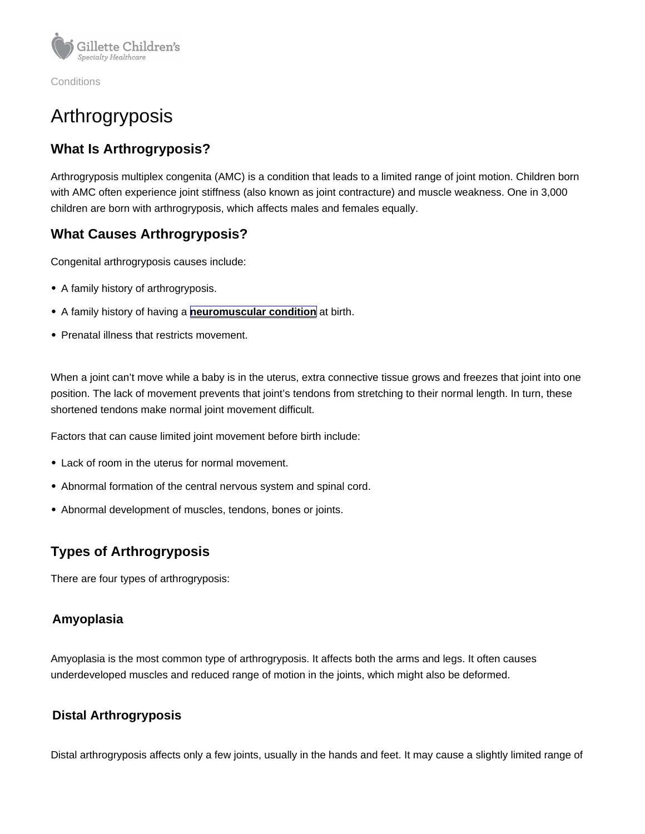**Conditions** 

# Arthrogryposis

# What Is Arthrogryposis?

Arthrogryposis multiplex congenita (AMC) is a condition that leads to a limited range of joint motion. Children born with AMC often experience joint stiffness (also known as joint contracture) and muscle weakness. One in 3,000 children are born with arthrogryposis, which affects males and females equally.

# What Causes Arthrogryposis?

Congenital arthrogryposis causes include:

- A family history of arthrogryposis.
- A family history of having a [neuromuscular condition](https://www.gillettechildrens.org/conditions-care/neuromuscular-disorders) at birth.
- Prenatal illness that restricts movement.

When a joint can't move while a baby is in the uterus, extra connective tissue grows and freezes that joint into one position. The lack of movement prevents that joint's tendons from stretching to their normal length. In turn, these shortened tendons make normal joint movement difficult.

Factors that can cause limited joint movement before birth include:

- Lack of room in the uterus for normal movement.
- Abnormal formation of the central nervous system and spinal cord.
- Abnormal development of muscles, tendons, bones or joints.

# Types of Arthrogryposis

There are four types of arthrogryposis:

#### Amyoplasia

Amyoplasia is the most common type of arthrogryposis. It affects both the arms and legs. It often causes underdeveloped muscles and reduced range of motion in the joints, which might also be deformed.

#### Distal Arthrogryposis

Distal arthrogryposis affects only a few joints, usually in the hands and feet. It may cause a slightly limited range of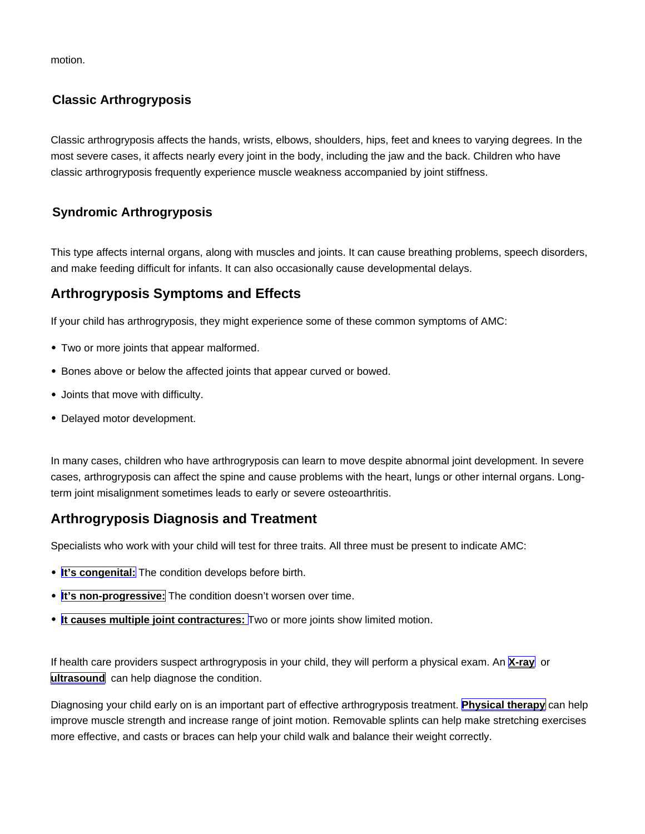motion.

## Classic Arthrogryposis

Classic arthrogryposis affects the hands, wrists, elbows, shoulders, hips, feet and knees to varying degrees. In the most severe cases, it affects nearly every joint in the body, including the jaw and the back. Children who have classic arthrogryposis frequently experience muscle weakness accompanied by joint stiffness.

## Syndromic Arthrogryposis

This type affects internal organs, along with muscles and joints. It can cause breathing problems, speech disorders, and make feeding difficult for infants. It can also occasionally cause developmental delays.

# Arthrogryposis Symptoms and Effects

If your child has arthrogryposis, they might experience some of these common symptoms of AMC:

- Two or more joints that appear malformed.
- Bones above or below the affected joints that appear curved or bowed.
- Joints that move with difficulty.
- Delayed motor development.

In many cases, children who have arthrogryposis can learn to move despite abnormal joint development. In severe cases, arthrogryposis can affect the spine and cause problems with the heart, lungs or other internal organs. Longterm joint misalignment sometimes leads to early or severe osteoarthritis.

## Arthrogryposis Diagnosis and Treatment

Specialists who work with your child will test for three traits. All three must be present to indicate AMC:

- It's congenital: The condition develops before birth.
- It's non-progressive: The condition doesn't worsen over time.
- It causes multiple joint contractures: Two or more joints show limited motion.

If health care providers suspect arthrogryposis in your child, they will perform a physical exam. An [X-ray](https://www.gillettechildrens.org/conditions-care/x-ray) or [ultrasound](https://www.gillettechildrens.org/conditions-care/ultrasound) can help diagnose the condition.

Diagnosing your child early on is an important part of effective arthrogryposis treatment. [Physical therapy](https://www.gillettechildrens.org/conditions-care/physical-therapy) can help improve muscle strength and increase range of joint motion. Removable splints can help make stretching exercises more effective, and casts or braces can help your child walk and balance their weight correctly.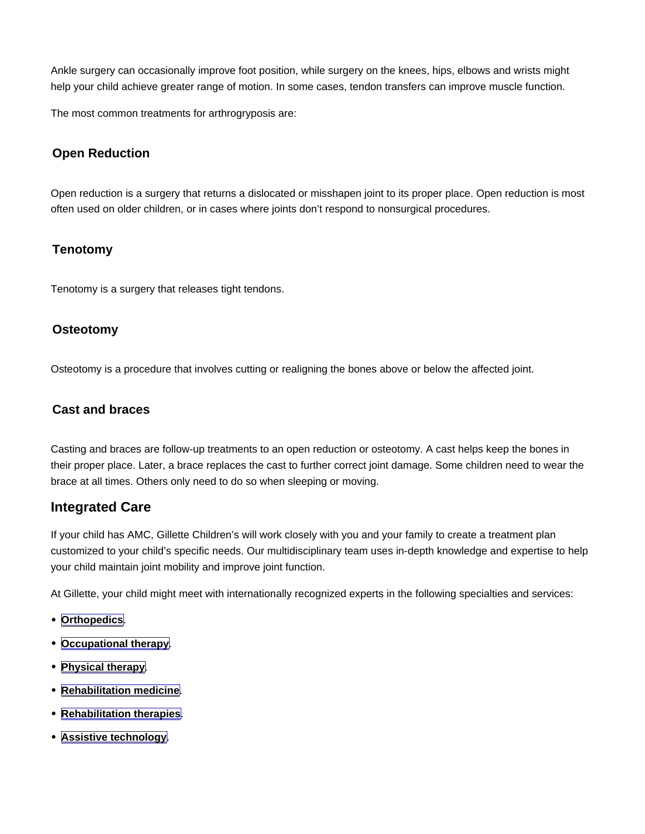Ankle surgery can occasionally improve foot position, while surgery on the knees, hips, elbows and wrists might help your child achieve greater range of motion. In some cases, tendon transfers can improve muscle function.

The most common treatments for arthrogryposis are:

### Open Reduction

Open reduction is a surgery that returns a dislocated or misshapen joint to its proper place. Open reduction is most often used on older children, or in cases where joints don't respond to nonsurgical procedures.

#### **Tenotomy**

Tenotomy is a surgery that releases tight tendons.

#### **Osteotomy**

Osteotomy is a procedure that involves cutting or realigning the bones above or below the affected joint.

#### Cast and braces

Casting and braces are follow-up treatments to an open reduction or osteotomy. A cast helps keep the bones in their proper place. Later, a brace replaces the cast to further correct joint damage. Some children need to wear the brace at all times. Others only need to do so when sleeping or moving.

#### Integrated Care

If your child has AMC, Gillette Children's will work closely with you and your family to create a treatment plan customized to your child's specific needs. Our multidisciplinary team uses in-depth knowledge and expertise to help your child maintain joint mobility and improve joint function.

At Gillette, your child might meet with internationally recognized experts in the following specialties and services:

- [Orthopedics](https://www.gillettechildrens.org/conditions-care/orthopedics) |
- [Occupational therapy](https://www.gillettechildrens.org/conditions-care/occupational-therapy)
- [Physical therapy](https://www.gillettechildrens.org/conditions-care/physical-therapy) .
- [Rehabilitation medicine](https://www.gillettechildrens.org/conditions-care/rehabilitation-services/rehabilitation-medicine) .
- [Rehabilitation therapies](https://www.gillettechildrens.org/conditions-care/rehabilitation-services/rehabilitation-therapies)
- [Assistive technology](https://www.gillettechildrens.org/conditions-care/orthotics-prosthetics-and-seating)